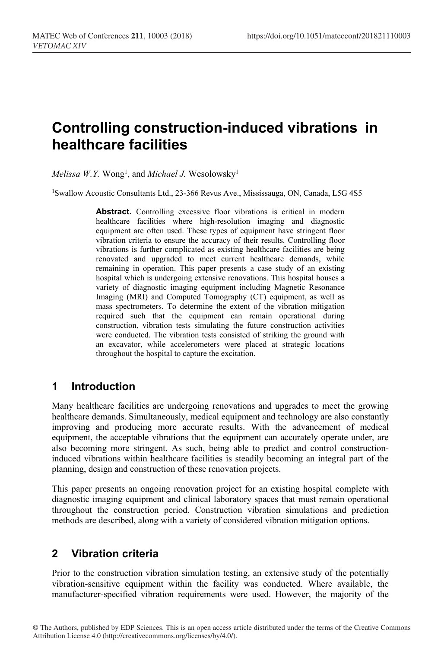# **Controlling construction-induced vibrations in healthcare facilities**

 $Melissa \ W.Y.$   $Wong<sup>1</sup>,$  and  $Michael \ J.$   $Wesolowsky<sup>1</sup>$ 

1Swallow Acoustic Consultants Ltd., 23-366 Revus Ave., Mississauga, ON, Canada, L5G 4S5

**Abstract.** Controlling excessive floor vibrations is critical in modern healthcare facilities where high-resolution imaging and diagnostic equipment are often used. These types of equipment have stringent floor vibration criteria to ensure the accuracy of their results. Controlling floor vibrations is further complicated as existing healthcare facilities are being renovated and upgraded to meet current healthcare demands, while remaining in operation. This paper presents a case study of an existing hospital which is undergoing extensive renovations. This hospital houses a variety of diagnostic imaging equipment including Magnetic Resonance Imaging (MRI) and Computed Tomography (CT) equipment, as well as mass spectrometers. To determine the extent of the vibration mitigation required such that the equipment can remain operational during construction, vibration tests simulating the future construction activities were conducted. The vibration tests consisted of striking the ground with an excavator, while accelerometers were placed at strategic locations throughout the hospital to capture the excitation.

#### **1 Introduction**

Many healthcare facilities are undergoing renovations and upgrades to meet the growing healthcare demands. Simultaneously, medical equipment and technology are also constantly improving and producing more accurate results. With the advancement of medical equipment, the acceptable vibrations that the equipment can accurately operate under, are also becoming more stringent. As such, being able to predict and control constructioninduced vibrations within healthcare facilities is steadily becoming an integral part of the planning, design and construction of these renovation projects.

This paper presents an ongoing renovation project for an existing hospital complete with diagnostic imaging equipment and clinical laboratory spaces that must remain operational throughout the construction period. Construction vibration simulations and prediction methods are described, along with a variety of considered vibration mitigation options.

# **2 Vibration criteria**

Prior to the construction vibration simulation testing, an extensive study of the potentially vibration-sensitive equipment within the facility was conducted. Where available, the manufacturer-specified vibration requirements were used. However, the majority of the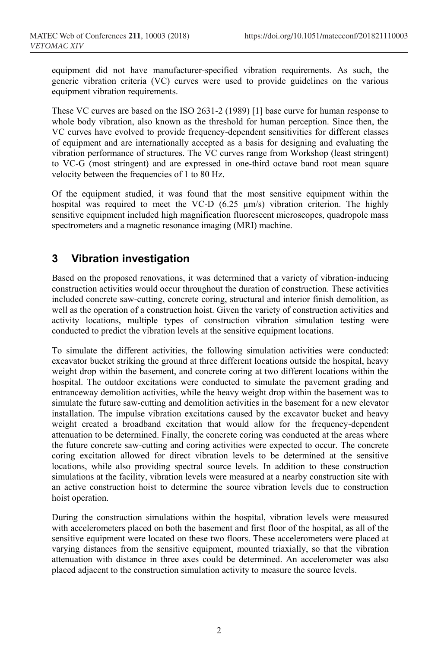equipment did not have manufacturer-specified vibration requirements. As such, the generic vibration criteria (VC) curves were used to provide guidelines on the various equipment vibration requirements.

These VC curves are based on the ISO 2631-2 (1989) [1] base curve for human response to whole body vibration, also known as the threshold for human perception. Since then, the VC curves have evolved to provide frequency-dependent sensitivities for different classes of equipment and are internationally accepted as a basis for designing and evaluating the vibration performance of structures. The VC curves range from Workshop (least stringent) to VC-G (most stringent) and are expressed in one-third octave band root mean square velocity between the frequencies of 1 to 80 Hz.

Of the equipment studied, it was found that the most sensitive equipment within the hospital was required to meet the VC-D  $(6.25 \text{ \mu m/s})$  vibration criterion. The highly sensitive equipment included high magnification fluorescent microscopes, quadropole mass spectrometers and a magnetic resonance imaging (MRI) machine.

# **3 Vibration investigation**

Based on the proposed renovations, it was determined that a variety of vibration-inducing construction activities would occur throughout the duration of construction. These activities included concrete saw-cutting, concrete coring, structural and interior finish demolition, as well as the operation of a construction hoist. Given the variety of construction activities and activity locations, multiple types of construction vibration simulation testing were conducted to predict the vibration levels at the sensitive equipment locations.

To simulate the different activities, the following simulation activities were conducted: excavator bucket striking the ground at three different locations outside the hospital, heavy weight drop within the basement, and concrete coring at two different locations within the hospital. The outdoor excitations were conducted to simulate the pavement grading and entranceway demolition activities, while the heavy weight drop within the basement was to simulate the future saw-cutting and demolition activities in the basement for a new elevator installation. The impulse vibration excitations caused by the excavator bucket and heavy weight created a broadband excitation that would allow for the frequency-dependent attenuation to be determined. Finally, the concrete coring was conducted at the areas where the future concrete saw-cutting and coring activities were expected to occur. The concrete coring excitation allowed for direct vibration levels to be determined at the sensitive locations, while also providing spectral source levels. In addition to these construction simulations at the facility, vibration levels were measured at a nearby construction site with an active construction hoist to determine the source vibration levels due to construction hoist operation.

During the construction simulations within the hospital, vibration levels were measured with accelerometers placed on both the basement and first floor of the hospital, as all of the sensitive equipment were located on these two floors. These accelerometers were placed at varying distances from the sensitive equipment, mounted triaxially, so that the vibration attenuation with distance in three axes could be determined. An accelerometer was also placed adjacent to the construction simulation activity to measure the source levels.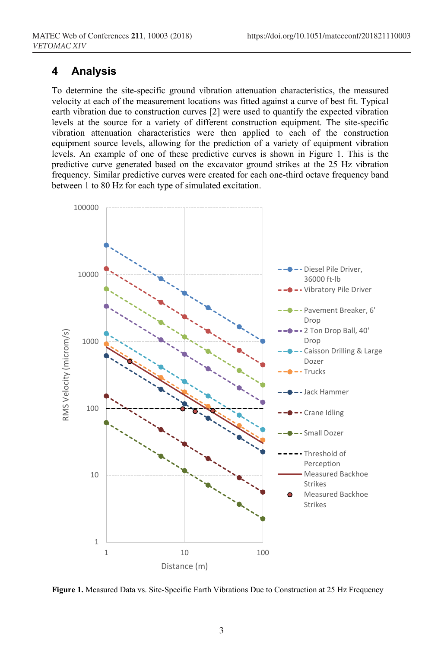#### **4 Analysis**

To determine the site-specific ground vibration attenuation characteristics, the measured velocity at each of the measurement locations was fitted against a curve of best fit. Typical earth vibration due to construction curves [2] were used to quantify the expected vibration levels at the source for a variety of different construction equipment. The site-specific vibration attenuation characteristics were then applied to each of the construction equipment source levels, allowing for the prediction of a variety of equipment vibration levels. An example of one of these predictive curves is shown in Figure 1. This is the predictive curve generated based on the excavator ground strikes at the 25 Hz vibration frequency. Similar predictive curves were created for each one-third octave frequency band between 1 to 80 Hz for each type of simulated excitation.



**Figure 1.** Measured Data vs. Site-Specific Earth Vibrations Due to Construction at 25 Hz Frequency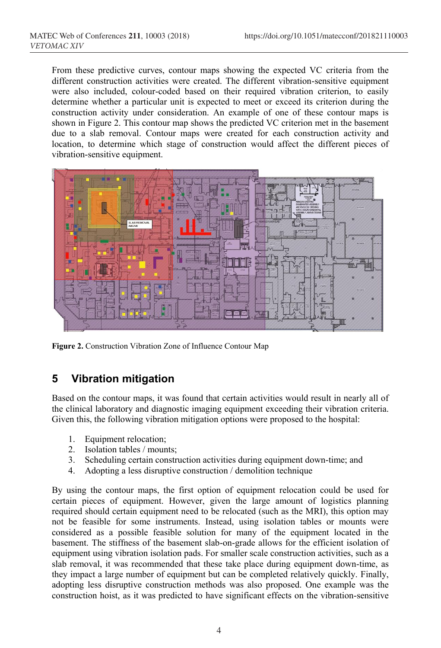From these predictive curves, contour maps showing the expected VC criteria from the different construction activities were created. The different vibration-sensitive equipment were also included, colour-coded based on their required vibration criterion, to easily determine whether a particular unit is expected to meet or exceed its criterion during the construction activity under consideration. An example of one of these contour maps is shown in Figure 2. This contour map shows the predicted VC criterion met in the basement due to a slab removal. Contour maps were created for each construction activity and location, to determine which stage of construction would affect the different pieces of vibration-sensitive equipment.



**Figure 2.** Construction Vibration Zone of Influence Contour Map

## **5 Vibration mitigation**

Based on the contour maps, it was found that certain activities would result in nearly all of the clinical laboratory and diagnostic imaging equipment exceeding their vibration criteria. Given this, the following vibration mitigation options were proposed to the hospital:

- 1. Equipment relocation;
- 2. Isolation tables / mounts;
- 3. Scheduling certain construction activities during equipment down-time; and
- 4. Adopting a less disruptive construction / demolition technique

By using the contour maps, the first option of equipment relocation could be used for certain pieces of equipment. However, given the large amount of logistics planning required should certain equipment need to be relocated (such as the MRI), this option may not be feasible for some instruments. Instead, using isolation tables or mounts were considered as a possible feasible solution for many of the equipment located in the basement. The stiffness of the basement slab-on-grade allows for the efficient isolation of equipment using vibration isolation pads. For smaller scale construction activities, such as a slab removal, it was recommended that these take place during equipment down-time, as they impact a large number of equipment but can be completed relatively quickly. Finally, adopting less disruptive construction methods was also proposed. One example was the construction hoist, as it was predicted to have significant effects on the vibration-sensitive